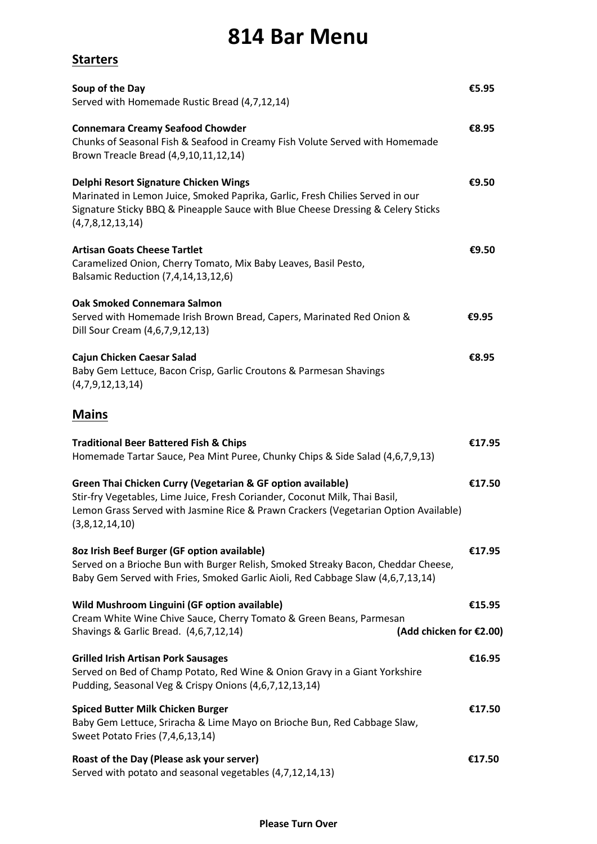## **814 Bar Menu**

**Starters**

| Soup of the Day<br>Served with Homemade Rustic Bread (4,7,12,14)                                                                                                                                                                                    | €5.95  |
|-----------------------------------------------------------------------------------------------------------------------------------------------------------------------------------------------------------------------------------------------------|--------|
| <b>Connemara Creamy Seafood Chowder</b><br>Chunks of Seasonal Fish & Seafood in Creamy Fish Volute Served with Homemade<br>Brown Treacle Bread (4,9,10,11,12,14)                                                                                    | €8.95  |
| Delphi Resort Signature Chicken Wings<br>Marinated in Lemon Juice, Smoked Paprika, Garlic, Fresh Chilies Served in our<br>Signature Sticky BBQ & Pineapple Sauce with Blue Cheese Dressing & Celery Sticks<br>(4,7,8,12,13,14)                      | €9.50  |
| <b>Artisan Goats Cheese Tartlet</b><br>Caramelized Onion, Cherry Tomato, Mix Baby Leaves, Basil Pesto,<br>Balsamic Reduction (7,4,14,13,12,6)                                                                                                       | €9.50  |
| <b>Oak Smoked Connemara Salmon</b><br>Served with Homemade Irish Brown Bread, Capers, Marinated Red Onion &<br>Dill Sour Cream (4,6,7,9,12,13)                                                                                                      | €9.95  |
| Cajun Chicken Caesar Salad<br>Baby Gem Lettuce, Bacon Crisp, Garlic Croutons & Parmesan Shavings<br>(4,7,9,12,13,14)                                                                                                                                | €8.95  |
| <b>Mains</b>                                                                                                                                                                                                                                        |        |
| <b>Traditional Beer Battered Fish &amp; Chips</b><br>Homemade Tartar Sauce, Pea Mint Puree, Chunky Chips & Side Salad (4,6,7,9,13)                                                                                                                  | €17.95 |
| Green Thai Chicken Curry (Vegetarian & GF option available)<br>Stir-fry Vegetables, Lime Juice, Fresh Coriander, Coconut Milk, Thai Basil,<br>Lemon Grass Served with Jasmine Rice & Prawn Crackers (Vegetarian Option Available)<br>(3,8,12,14,10) | €17.50 |
| 8oz Irish Beef Burger (GF option available)<br>Served on a Brioche Bun with Burger Relish, Smoked Streaky Bacon, Cheddar Cheese,<br>Baby Gem Served with Fries, Smoked Garlic Aioli, Red Cabbage Slaw (4,6,7,13,14)                                 | €17.95 |
| Wild Mushroom Linguini (GF option available)<br>Cream White Wine Chive Sauce, Cherry Tomato & Green Beans, Parmesan<br>Shavings & Garlic Bread. (4,6,7,12,14)<br>(Add chicken for €2.00)                                                            | €15.95 |
| <b>Grilled Irish Artisan Pork Sausages</b><br>Served on Bed of Champ Potato, Red Wine & Onion Gravy in a Giant Yorkshire<br>Pudding, Seasonal Veg & Crispy Onions (4,6,7,12,13,14)                                                                  | €16.95 |
| <b>Spiced Butter Milk Chicken Burger</b><br>Baby Gem Lettuce, Sriracha & Lime Mayo on Brioche Bun, Red Cabbage Slaw,<br>Sweet Potato Fries (7,4,6,13,14)                                                                                            | €17.50 |
| Roast of the Day (Please ask your server)<br>Served with potato and seasonal vegetables (4,7,12,14,13)                                                                                                                                              | €17.50 |